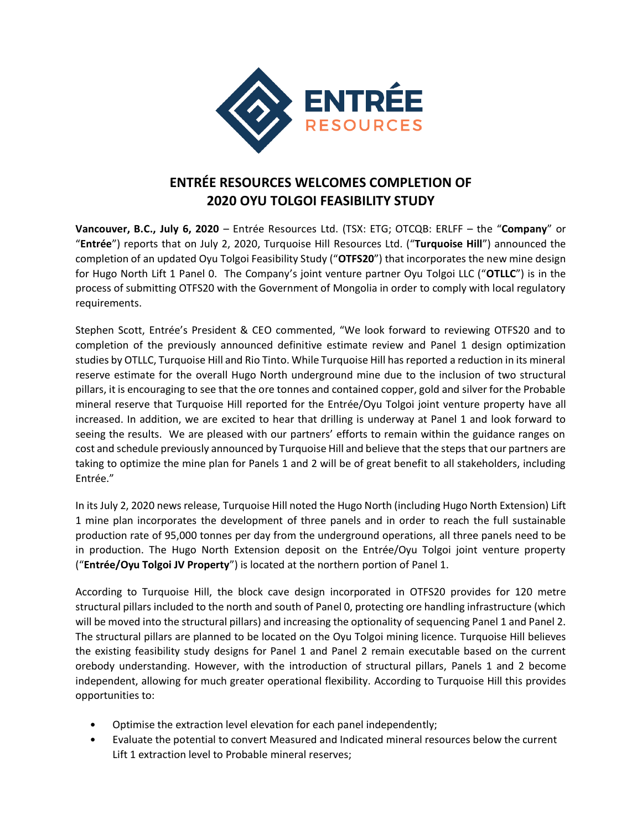

## **ENTRÉE RESOURCES WELCOMES COMPLETION OF 2020 OYU TOLGOI FEASIBILITY STUDY**

**Vancouver, B.C., July 6, 2020** – Entrée Resources Ltd. (TSX: ETG; OTCQB: ERLFF – the "**Company**" or "**Entrée**") reports that on July 2, 2020, Turquoise Hill Resources Ltd. ("**Turquoise Hill**") announced the completion of an updated Oyu Tolgoi Feasibility Study ("**OTFS20**") that incorporates the new mine design for Hugo North Lift 1 Panel 0. The Company's joint venture partner Oyu Tolgoi LLC ("**OTLLC**") is in the process of submitting OTFS20 with the Government of Mongolia in order to comply with local regulatory requirements.

Stephen Scott, Entrée's President & CEO commented, "We look forward to reviewing OTFS20 and to completion of the previously announced definitive estimate review and Panel 1 design optimization studies by OTLLC, Turquoise Hill and Rio Tinto. While Turquoise Hill has reported a reduction in its mineral reserve estimate for the overall Hugo North underground mine due to the inclusion of two structural pillars, it is encouraging to see that the ore tonnes and contained copper, gold and silver for the Probable mineral reserve that Turquoise Hill reported for the Entrée/Oyu Tolgoi joint venture property have all increased. In addition, we are excited to hear that drilling is underway at Panel 1 and look forward to seeing the results. We are pleased with our partners' efforts to remain within the guidance ranges on cost and schedule previously announced by Turquoise Hill and believe that the steps that our partners are taking to optimize the mine plan for Panels 1 and 2 will be of great benefit to all stakeholders, including Entrée."

In its July 2, 2020 news release, Turquoise Hill noted the Hugo North (including Hugo North Extension) Lift 1 mine plan incorporates the development of three panels and in order to reach the full sustainable production rate of 95,000 tonnes per day from the underground operations, all three panels need to be in production. The Hugo North Extension deposit on the Entrée/Oyu Tolgoi joint venture property ("**Entrée/Oyu Tolgoi JV Property**") is located at the northern portion of Panel 1.

According to Turquoise Hill, the block cave design incorporated in OTFS20 provides for 120 metre structural pillars included to the north and south of Panel 0, protecting ore handling infrastructure (which will be moved into the structural pillars) and increasing the optionality of sequencing Panel 1 and Panel 2. The structural pillars are planned to be located on the Oyu Tolgoi mining licence. Turquoise Hill believes the existing feasibility study designs for Panel 1 and Panel 2 remain executable based on the current orebody understanding. However, with the introduction of structural pillars, Panels 1 and 2 become independent, allowing for much greater operational flexibility. According to Turquoise Hill this provides opportunities to:

- Optimise the extraction level elevation for each panel independently;
- Evaluate the potential to convert Measured and Indicated mineral resources below the current Lift 1 extraction level to Probable mineral reserves;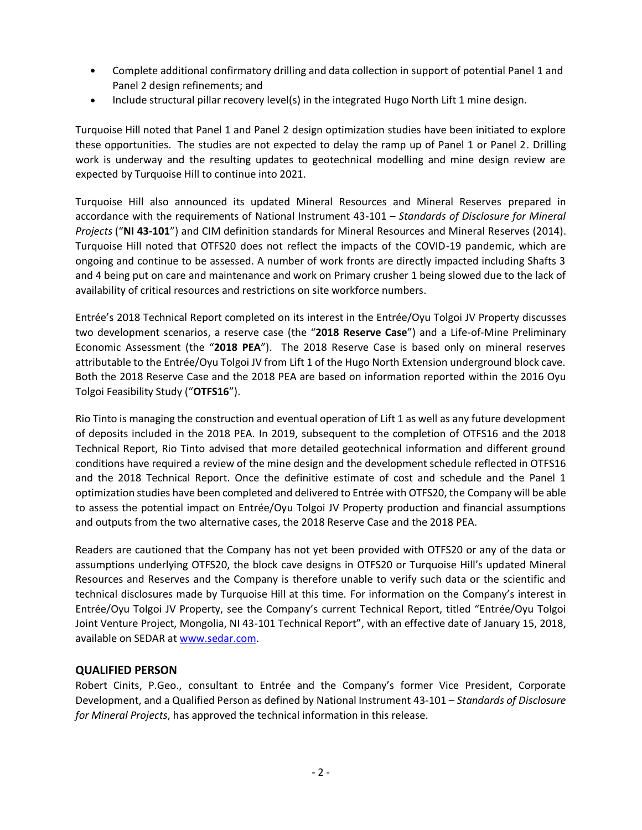- Complete additional confirmatory drilling and data collection in support of potential Panel 1 and Panel 2 design refinements; and
- Include structural pillar recovery level(s) in the integrated Hugo North Lift 1 mine design.

Turquoise Hill noted that Panel 1 and Panel 2 design optimization studies have been initiated to explore these opportunities. The studies are not expected to delay the ramp up of Panel 1 or Panel 2. Drilling work is underway and the resulting updates to geotechnical modelling and mine design review are expected by Turquoise Hill to continue into 2021.

Turquoise Hill also announced its updated Mineral Resources and Mineral Reserves prepared in accordance with the requirements of National Instrument 43-101 – *Standards of Disclosure for Mineral Projects* ("**NI 43-101**") and CIM definition standards for Mineral Resources and Mineral Reserves (2014). Turquoise Hill noted that OTFS20 does not reflect the impacts of the COVID-19 pandemic, which are ongoing and continue to be assessed. A number of work fronts are directly impacted including Shafts 3 and 4 being put on care and maintenance and work on Primary crusher 1 being slowed due to the lack of availability of critical resources and restrictions on site workforce numbers.

Entrée's 2018 Technical Report completed on its interest in the Entrée/Oyu Tolgoi JV Property discusses two development scenarios, a reserve case (the "**2018 Reserve Case**") and a Life-of-Mine Preliminary Economic Assessment (the "**2018 PEA**"). The 2018 Reserve Case is based only on mineral reserves attributable to the Entrée/Oyu Tolgoi JV from Lift 1 of the Hugo North Extension underground block cave. Both the 2018 Reserve Case and the 2018 PEA are based on information reported within the 2016 Oyu Tolgoi Feasibility Study ("**OTFS16**").

Rio Tinto is managing the construction and eventual operation of Lift 1 as well as any future development of deposits included in the 2018 PEA. In 2019, subsequent to the completion of OTFS16 and the 2018 Technical Report, Rio Tinto advised that more detailed geotechnical information and different ground conditions have required a review of the mine design and the development schedule reflected in OTFS16 and the 2018 Technical Report. Once the definitive estimate of cost and schedule and the Panel 1 optimization studies have been completed and delivered to Entrée with OTFS20, the Company will be able to assess the potential impact on Entrée/Oyu Tolgoi JV Property production and financial assumptions and outputs from the two alternative cases, the 2018 Reserve Case and the 2018 PEA.

Readers are cautioned that the Company has not yet been provided with OTFS20 or any of the data or assumptions underlying OTFS20, the block cave designs in OTFS20 or Turquoise Hill's updated Mineral Resources and Reserves and the Company is therefore unable to verify such data or the scientific and technical disclosures made by Turquoise Hill at this time. For information on the Company's interest in Entrée/Oyu Tolgoi JV Property, see the Company's current Technical Report, titled "Entrée/Oyu Tolgoi Joint Venture Project, Mongolia, NI 43-101 Technical Report", with an effective date of January 15, 2018, available on SEDAR a[t www.sedar.com.](http://www.sedar.com/)

## **QUALIFIED PERSON**

Robert Cinits, P.Geo., consultant to Entrée and the Company's former Vice President, Corporate Development, and a Qualified Person as defined by National Instrument 43-101 – *Standards of Disclosure for Mineral Projects*, has approved the technical information in this release.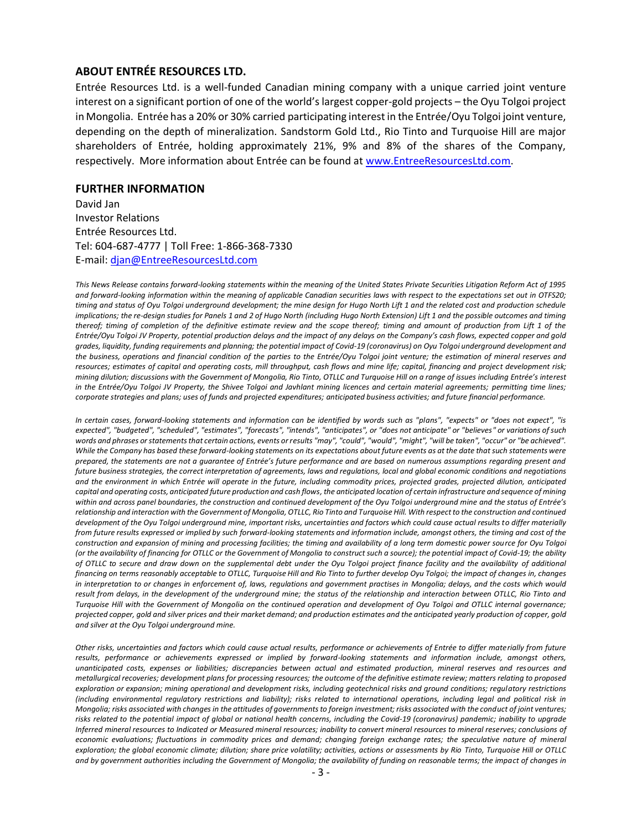## **ABOUT ENTRÉE RESOURCES LTD.**

Entrée Resources Ltd. is a well-funded Canadian mining company with a unique carried joint venture interest on a significant portion of one of the world's largest copper-gold projects – the Oyu Tolgoi project in Mongolia. Entrée has a 20% or 30% carried participating interest in the Entrée/Oyu Tolgoi joint venture, depending on the depth of mineralization. Sandstorm Gold Ltd., Rio Tinto and Turquoise Hill are major shareholders of Entrée, holding approximately 21%, 9% and 8% of the shares of the Company, respectively. More information about Entrée can be found at [www.EntreeResourcesLtd.com.](http://www.entreeresourcesltd.com/)

## **FURTHER INFORMATION**

David Jan Investor Relations Entrée Resources Ltd. Tel: 604-687-4777 | Toll Free: 1-866-368-7330 E-mail: [djan@EntreeResourcesLtd.com](mailto:djan@EntreeResourcesLtd.com)

*This News Release contains forward-looking statements within the meaning of the United States Private Securities Litigation Reform Act of 1995 and forward-looking information within the meaning of applicable Canadian securities laws with respect to the expectations set out in OTFS20; timing and status of Oyu Tolgoi underground development; the mine design for Hugo North Lift 1 and the related cost and production schedule implications; the re-design studies for Panels 1 and 2 of Hugo North (including Hugo North Extension) Lift 1 and the possible outcomes and timing thereof; timing of completion of the definitive estimate review and the scope thereof; timing and amount of production from Lift 1 of the Entrée/Oyu Tolgoi JV Property, potential production delays and the impact of any delays on the Company's cash flows, expected copper and gold grades, liquidity, funding requirements and planning; the potential impact of Covid-19 (coronavirus) on Oyu Tolgoi underground development and the business, operations and financial condition of the parties to the Entrée/Oyu Tolgoi joint venture; the estimation of mineral reserves and resources; estimates of capital and operating costs, mill throughput, cash flows and mine life; capital, financing and project development risk; mining dilution; discussions with the Government of Mongolia, Rio Tinto, OTLLC and Turquoise Hill on a range of issues including Entrée's interest in the Entrée/Oyu Tolgoi JV Property, the Shivee Tolgoi and Javhlant mining licences and certain material agreements; permitting time lines; corporate strategies and plans; uses of funds and projected expenditures; anticipated business activities; and future financial performance.*

*In certain cases, forward-looking statements and information can be identified by words such as "plans", "expects" or "does not expect", "is expected", "budgeted", "scheduled", "estimates", "forecasts", "intends", "anticipates", or "does not anticipate" or "believes" or variations of such words and phrases or statements that certain actions, events or results "may", "could", "would", "might", "will be taken", "occur" or "be achieved". While the Company has based these forward-looking statements on its expectations about future events as at the date that such statements were prepared, the statements are not a guarantee of Entrée's future performance and are based on numerous assumptions regarding present and future business strategies, the correct interpretation of agreements, laws and regulations, local and global economic conditions and negotiations and the environment in which Entrée will operate in the future, including commodity prices, projected grades, projected dilution, anticipated capital and operating costs, anticipated future production and cash flows, the anticipated location of certain infrastructure and sequence of mining within and across panel boundaries, the construction and continued development of the Oyu Tolgoi underground mine and the status of Entrée's relationship and interaction with the Government of Mongolia, OTLLC, Rio Tinto and Turquoise Hill. With respect to the construction and continued development of the Oyu Tolgoi underground mine, important risks, uncertainties and factors which could cause actual results to differ materially from future results expressed or implied by such forward-looking statements and information include, amongst others, the timing and cost of the construction and expansion of mining and processing facilities; the timing and availability of a long term domestic power source for Oyu Tolgoi (or the availability of financing for OTLLC or the Government of Mongolia to construct such a source); the potential impact of Covid-19; the ability of OTLLC to secure and draw down on the supplemental debt under the Oyu Tolgoi project finance facility and the availability of additional financing on terms reasonably acceptable to OTLLC, Turquoise Hill and Rio Tinto to further develop Oyu Tolgoi; the impact of changes in, changes*  in interpretation to or changes in enforcement of, laws, regulations and government practises in Mongolia; delays, and the costs which would result from delays, in the development of the underground mine; the status of the relationship and interaction between OTLLC, Rio Tinto and *Turquoise Hill with the Government of Mongolia on the continued operation and development of Oyu Tolgoi and OTLLC internal governance; projected copper, gold and silver prices and their market demand; and production estimates and the anticipated yearly production of copper, gold and silver at the Oyu Tolgoi underground mine.* 

*Other risks, uncertainties and factors which could cause actual results, performance or achievements of Entrée to differ materially from future results, performance or achievements expressed or implied by forward-looking statements and information include, amongst others, unanticipated costs, expenses or liabilities; discrepancies between actual and estimated production, mineral reserves and resources and metallurgical recoveries; development plans for processing resources; the outcome of the definitive estimate review; matters relating to proposed exploration or expansion; mining operational and development risks, including geotechnical risks and ground conditions; regulatory restrictions (including environmental regulatory restrictions and liability); risks related to international operations, including legal and political risk in Mongolia; risks associated with changes in the attitudes of governments to foreign investment; risks associated with the conduct of joint ventures; risks related to the potential impact of global or national health concerns, including the Covid-19 (coronavirus) pandemic; inability to upgrade Inferred mineral resources to Indicated or Measured mineral resources; inability to convert mineral resources to mineral reserves; conclusions of economic evaluations; fluctuations in commodity prices and demand; changing foreign exchange rates; the speculative nature of mineral exploration; the global economic climate; dilution; share price volatility; activities, actions or assessments by Rio Tinto, Turquoise Hill or OTLLC and by government authorities including the Government of Mongolia; the availability of funding on reasonable terms; the impact of changes in*